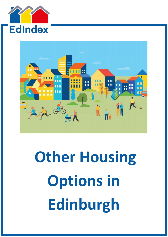



# **Other Housing Options in Edinburgh**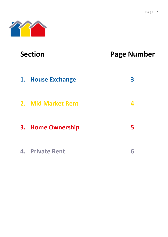## **Section Page Number**

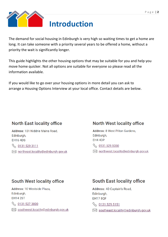

The demand for social housing in Edinburgh is very high so waiting times to get a home are long. It can take someone with a priority several years to be offered a home, without a priority the wait is significantly longer.

This guide highlights the other housing options that may be suitable for you and help you move home quicker. Not all options are suitable for everyone so please read all the information available.

If you would like to go over your housing options in more detail you can ask to arrange a Housing Options Interview at your local office. Contact details are below.

### **North East locality office**

Address: 101 Niddrie Mains Road, Edinburgh. **EH16 4DS** 

So 0131 529 3111

 $\approx$  northeast.locality@edinburgh.gov.uk

#### **North West locality office**

Address: 8 West Pilton Gardens, Edinburgh, EH4 4DP

₹ 0131 529 5050

 $\boxed{\smash{\sim}}$  northwest.locality@edinburgh.gov.uk

### **South West locality office**

Address: 10 Westside Plaza. Edinburgh, **EH14 2ST** 

6 0131 527 3800

⊠ southwest.locality@edinburgh.gov.uk

### **South East locality office**

Address: 40 Captain's Road, Edinburgh, **EH17 80F** 

6 0131 529 5151

southeast.locality@edinburgh.gov.uk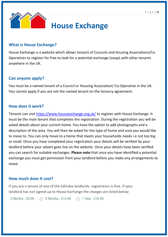

#### **What is House Exchange?**

House Exchange is a website which allows tenants of Councils and Housing Associations/Co-Operatives to register for free to look for a potential exchange (swap) with other tenants anywhere in the UK.

#### **Can anyone apply?**

You must be a named tenant of a Council or Housing Association/ Co-Operative in the UK. You cannot apply if you are not the named tenant on the tenancy agreement.

#### **How does it work?**

Tenants can visit<https://www.houseexchange.org.uk/> to register with House Exchange. It must be the main tenant that completes the registration. During the registration you will be asked details about your current home. You have the option to add photographs and a description of the area. You will then be asked for the type of home and area you would like to move to. You can only move to a home that meets your households needs i.e not too big or small. Once you have completed your registration your details will be verified by your landlord before your advert goes live on the website. Once your details have been verified you can search for suitable exchanges. **Please note** that once you have identified a potential exchange you must get permission from your landlord before you make any arrangements to move.

#### **How much does it cost?**

If you are a tenant of one of the EdIndex landlords, registration is free. If your landlord has not signed up to House Exchange the charges are listed below:

 $3$  Months - £9.99  $\bigcirc$  6 Months - £14.99 ◯ 1 Year - £19.99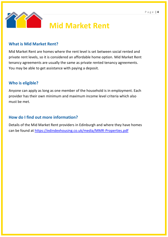

## **Mid Market Rent**

#### **What is Mid Market Rent?**

Mid Market Rent are homes where the rent level is set between social rented and private rent levels, so it is considered an affordable home option. Mid Market Rent tenancy agreements are usually the same as private rented tenancy agreements. You may be able to get assistance with paying a deposit.

#### **Who is eligible?**

Anyone can apply as long as one member of the household is in employment. Each provider has their own minimum and maximum income level criteria which also must be met.

#### **How do I find out more information?**

Details of the Mid Market Rent providers in Edinburgh and where they have homes can be found at<https://edindexhousing.co.uk/media/MMR-Properties.pdf>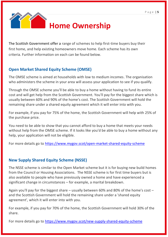

The Scottish Government offer a range of schemes to help first-time buyers buy their first home, and help existing homeowners move home. Each scheme has its own criteria. Further information on each can be found below.

#### **Open Market Shared Equity Scheme (OMSE)**

The OMSE scheme is aimed at households with low to medium incomes. The organisation who administers the scheme in your area will assess your application to see if you qualify.

Through the OMSE scheme you'll be able to buy a home without having to fund its entire cost and will get help from the Scottish Government. You'll pay for the biggest share which is usually between 60% and 90% of the home's cost. The Scottish Government will hold the remaining share under a shared equity agreement which it will enter into with you.

For example, if you pay for 75% of the home, the Scottish Government will help with 25% of the purchase price.

You need to be able to show that you cannot afford to buy a home that meets your needs without help from the OMSE scheme. If it looks like you'd be able to buy a home without any help, your application will not be eligible.

For more details go to<https://www.mygov.scot/open-market-shared-equity-scheme>

#### **New Supply Shared Equity Scheme (NSSE)**

The NSSE scheme is similar to the Open Market scheme but it is for buying new build homes from the Council or Housing Associations. The NSSE scheme is for first time buyers but is also available to people who have previously owned a home and have experienced a significant change in circumstances – for example, a marital breakdown.

Again you'll pay for the biggest share – usually between 60% and 80% of the home's cost – and the Scottish Government will hold the remaining share under a 'shared equity agreement', which it will enter into with you.

For example, if you pay for 70% of the home, the Scottish Government will hold 30% of the share.

For more details go to<https://www.mygov.scot/new-supply-shared-equity-scheme>